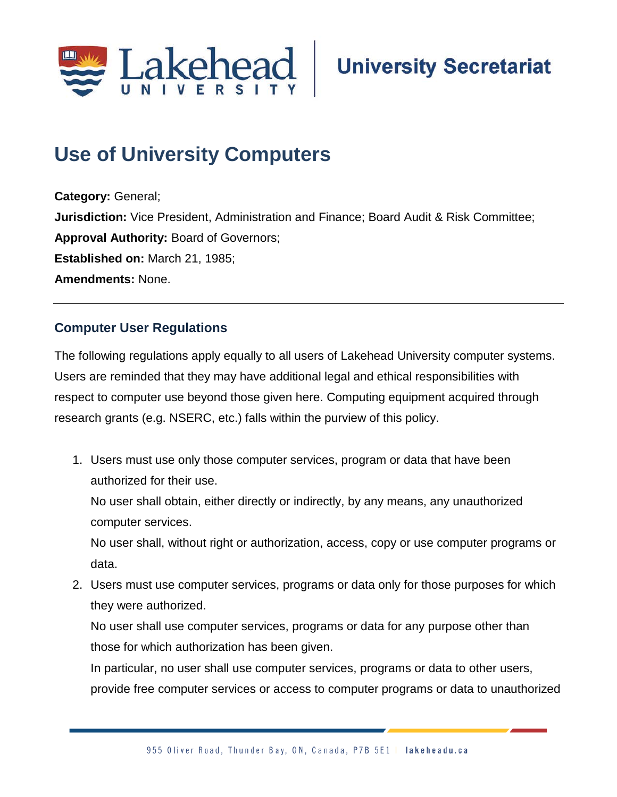

## **Use of University Computers**

**Category:** General; **Jurisdiction:** Vice President, Administration and Finance; Board Audit & Risk Committee; **Approval Authority:** Board of Governors; **Established on:** March 21, 1985; **Amendments:** None.

## **Computer User Regulations**

The following regulations apply equally to all users of Lakehead University computer systems. Users are reminded that they may have additional legal and ethical responsibilities with respect to computer use beyond those given here. Computing equipment acquired through research grants (e.g. NSERC, etc.) falls within the purview of this policy.

1. Users must use only those computer services, program or data that have been authorized for their use.

No user shall obtain, either directly or indirectly, by any means, any unauthorized computer services.

No user shall, without right or authorization, access, copy or use computer programs or data.

2. Users must use computer services, programs or data only for those purposes for which they were authorized.

No user shall use computer services, programs or data for any purpose other than those for which authorization has been given.

In particular, no user shall use computer services, programs or data to other users, provide free computer services or access to computer programs or data to unauthorized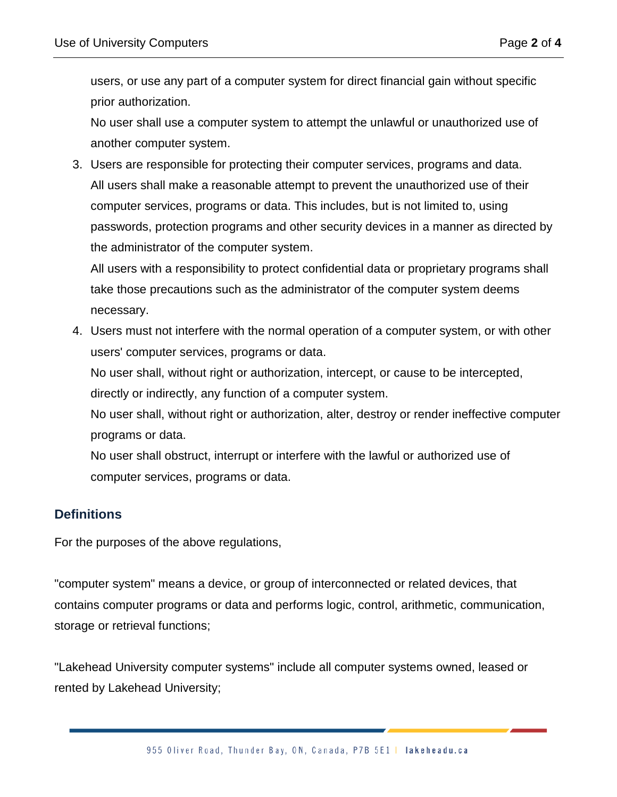users, or use any part of a computer system for direct financial gain without specific prior authorization.

No user shall use a computer system to attempt the unlawful or unauthorized use of another computer system.

3. Users are responsible for protecting their computer services, programs and data. All users shall make a reasonable attempt to prevent the unauthorized use of their computer services, programs or data. This includes, but is not limited to, using passwords, protection programs and other security devices in a manner as directed by the administrator of the computer system.

All users with a responsibility to protect confidential data or proprietary programs shall take those precautions such as the administrator of the computer system deems necessary.

4. Users must not interfere with the normal operation of a computer system, or with other users' computer services, programs or data.

No user shall, without right or authorization, intercept, or cause to be intercepted, directly or indirectly, any function of a computer system.

No user shall, without right or authorization, alter, destroy or render ineffective computer programs or data.

No user shall obstruct, interrupt or interfere with the lawful or authorized use of computer services, programs or data.

## **Definitions**

For the purposes of the above regulations,

"computer system" means a device, or group of interconnected or related devices, that contains computer programs or data and performs logic, control, arithmetic, communication, storage or retrieval functions;

"Lakehead University computer systems" include all computer systems owned, leased or rented by Lakehead University;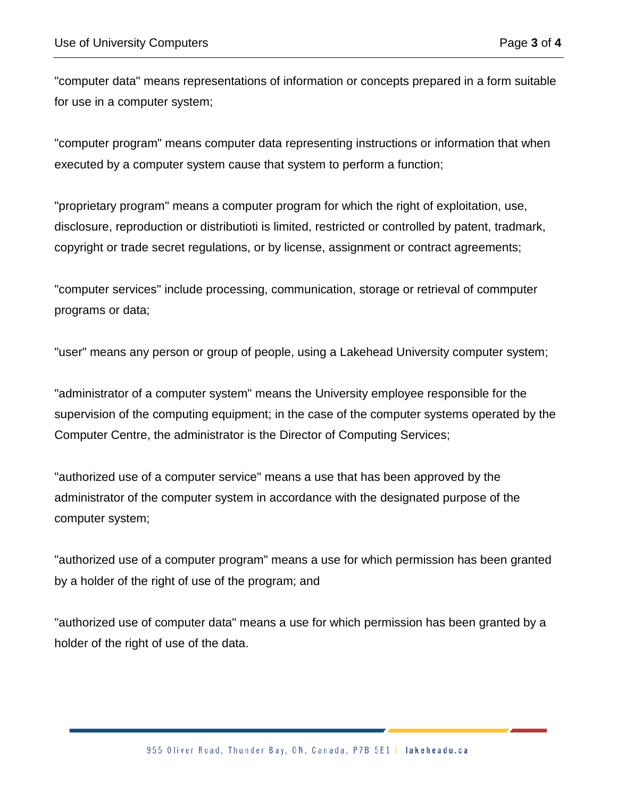"computer data" means representations of information or concepts prepared in a form suitable for use in a computer system;

"computer program" means computer data representing instructions or information that when executed by a computer system cause that system to perform a function;

"proprietary program" means a computer program for which the right of exploitation, use, disclosure, reproduction or distributioti is limited, restricted or controlled by patent, tradmark, copyright or trade secret regulations, or by license, assignment or contract agreements;

"computer services" include processing, communication, storage or retrieval of commputer programs or data;

"user" means any person or group of people, using a Lakehead University computer system;

"administrator of a computer system" means the University employee responsible for the supervision of the computing equipment; in the case of the computer systems operated by the Computer Centre, the administrator is the Director of Computing Services;

"authorized use of a computer service" means a use that has been approved by the administrator of the computer system in accordance with the designated purpose of the computer system;

"authorized use of a computer program" means a use for which permission has been granted by a holder of the right of use of the program; and

"authorized use of computer data" means a use for which permission has been granted by a holder of the right of use of the data.